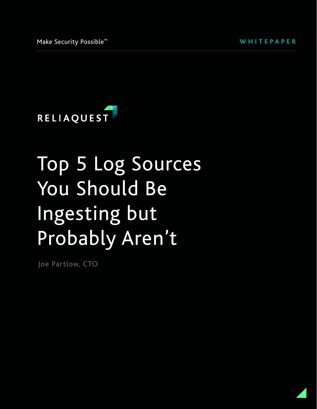

# Top 5 Log Sources You Should Be Ingesting but Probably Aren't

Joe Partlow, CTO

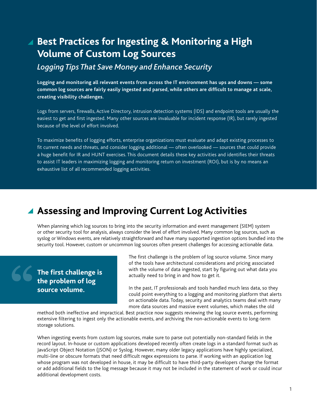# **Best Practices for Ingesting & Monitoring a High Volume of Custom Log Sources**

*Logging Tips That Save Money and Enhance Security*

**Logging and monitoring all relevant events from across the IT environment has ups and downs — some common log sources are fairly easily ingested and parsed, while others are difficult to manage at scale, creating visibility challenges.** 

Logs from servers, firewalls, Active Directory, intrusion detection systems (IDS) and endpoint tools are usually the easiest to get and first ingested. Many other sources are invaluable for incident response (IR), but rarely ingested because of the level of effort involved.

To maximize benefits of logging efforts, enterprise organizations must evaluate and adapt existing processes to fit current needs and threats, and consider logging additional — often overlooked — sources that could provide a huge benefit for IR and HUNT exercises. This document details these key activities and identifies their threats to assist IT leaders in maximizing logging and monitoring return on investment (ROI), but is by no means an exhaustive list of all recommended logging activities.

# **Assessing and Improving Current Log Activities**

When planning which log sources to bring into the security information and event management (SIEM) system or other security tool for analysis, always consider the level of effort involved. Many common log sources, such as syslog or Windows events, are relatively straightforward and have many supported ingestion options bundled into the security tool. However, custom or uncommon log sources often present challenges for accessing actionable data.

**The first challenge is the problem of log source volume.** 

The first challenge is the problem of log source volume. Since many of the tools have architectural considerations and pricing associated with the volume of data ingested, start by figuring out what data you actually need to bring in and how to get it.

In the past, IT professionals and tools handled much less data, so they could point everything to a logging and monitoring platform that alerts on actionable data. Today, security and analytics teams deal with many more data sources and massive event volumes, which makes the old

method both ineffective and impractical. Best practice now suggests reviewing the log source events, performing extensive filtering to ingest only the actionable events, and archiving the non-actionable events to long-term storage solutions.

When ingesting events from custom log sources, make sure to parse out potentially non-standard fields in the record layout. In-house or custom applications developed recently often create logs in a standard format such as JavaScript Object Notation (JSON) or Syslog. However, many older legacy applications have highly specialized, multi-line or obscure formats that need difficult regex expressions to parse. If working with an application log whose program was not developed in house, it may be difficult to have third-party developers change the format or add additional fields to the log message because it may not be included in the statement of work or could incur additional development costs.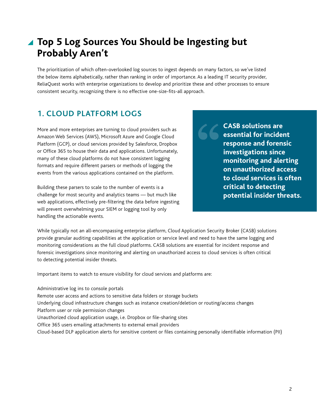# **Top 5 Log Sources You Should be Ingesting but Probably Aren't**

The prioritization of which often-overlooked log sources to ingest depends on many factors, so we've listed the below items alphabetically, rather than ranking in order of importance. As a leading IT security provider, ReliaQuest works with enterprise organizations to develop and prioritize these and other processes to ensure consistent security, recognizing there is no effective one-size-fits-all approach.

### **1. CLOUD PLATFORM LOGS**

More and more enterprises are turning to cloud providers such as Amazon Web Services (AWS), Microsoft Azure and Google Cloud Platform (GCP), or cloud services provided by Salesforce, Dropbox or Office 365 to house their data and applications. Unfortunately, many of these cloud platforms do not have consistent logging formats and require different parsers or methods of logging the events from the various applications contained on the platform.

Building these parsers to scale to the number of events is a challenge for most security and analytics teams — but much like web applications, effectively pre-filtering the data before ingesting will prevent overwhelming your SIEM or logging tool by only handling the actionable events.

**CASB solutions are essential for incident response and forensic investigations since monitoring and alerting on unauthorized access to cloud services is often critical to detecting potential insider threats.**

While typically not an all-encompassing enterprise platform, Cloud Application Security Broker (CASB) solutions provide granular auditing capabilities at the application or service level and need to have the same logging and monitoring considerations as the full cloud platforms. CASB solutions are essential for incident response and forensic investigations since monitoring and alerting on unauthorized access to cloud services is often critical to detecting potential insider threats.

Important items to watch to ensure visibility for cloud services and platforms are:

Administrative log ins to console portals Remote user access and actions to sensitive data folders or storage buckets Underlying cloud infrastructure changes such as instance creation/deletion or routing/access changes Platform user or role permission changes Unauthorized cloud application usage, i.e. Dropbox or file-sharing sites Office 365 users emailing attachments to external email providers Cloud-based DLP application alerts for sensitive content or files containing personally identifiable information (PII)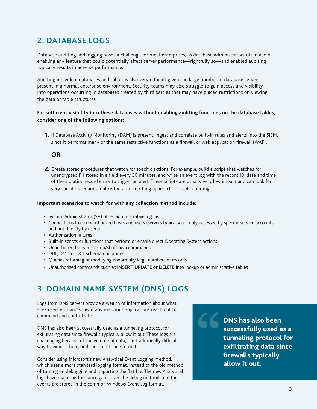### **2. DATABASE LOGS**

Database auditing and logging poses a challenge for most enterprises, as database administrators often avoid enabling any feature that could potentially affect server performance—rightfully so—and enabled auditing typically results in adverse performance.

Auditing individual databases and tables is also very difficult given the large number of database servers present in a normal enterprise environment. Security teams may also struggle to gain access and visibility into operations occurring in databases created by third parties that may have placed restrictions on viewing the data or table structures.

#### **For sufficient visibility into these databases without enabling auditing functions on the database tables, consider one of the following options:**

**1.** If Database Activity Monitoring (DAM) is present, ingest and correlate built-in rules and alerts into the SIEM, since it performs many of the same restrictive functions as a firewall or web application firewall (WAF).

#### **OR**

**2.** Create stored procedures that watch for specific actions. For example, build a script that watches for unencrypted PII stored in a field every 30 minutes, and write an event log with the record ID, date and time of the violating record entry to trigger an alert. These scripts are usually very low impact and can look for very specific scenarios, unlike the all-or-nothing approach for table auditing.

#### **Important scenarios to watch for with any collection method include:**

- System Administrator (SA) other administrative log ins
- Connections from unauthorized hosts and users (servers typically are only accessed by specific service accounts and not directly by users)
- Authorization failures
- Built-in scripts or functions that perform or enable direct Operating System actions
- Unauthorized server startup/shutdown commands
- DDL, DML, or DCL schema operations
- Queries returning or modifying abnormally large numbers of records
- Unauthorized commands such as **INSERT, UPDATE or DELETE** into lookup or administrative tables

### **3. DOMAIN NAME SYSTEM (DNS) LOGS**

Logs from DNS servers provide a wealth of information about what sites users visit and show if any malicious applications reach out to command and control sites.

DNS has also been successfully used as a tunneling protocol for exfiltrating data since firewalls typically allow it out. These logs are challenging because of the volume of data, the traditionally difficult way to export them, and their multi-line format.

Consider using Microsoft's new Analytical Event Logging method, which uses a more standard logging format, instead of the old method of turning on debugging and importing the flat file. The new Analytical logs have major performance gains over the debug method, and the events are stored in the common Windows Event Log format.

**DNS has also been successfully used as a tunneling protocol for exfiltrating data since firewalls typically allow it out.**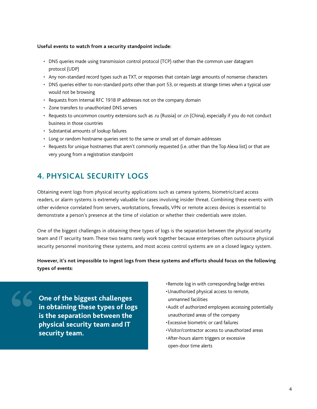#### **Useful events to watch from a security standpoint include:**

- DNS queries made using transmission control protocol (TCP) rather than the common user datagram protocol (UDP)
- Any non-standard record types such as TXT, or responses that contain large amounts of nonsense characters
- DNS queries either to non-standard ports other than port 53, or requests at strange times when a typical user would not be browsing
- Requests from Internal RFC 1918 IP addresses not on the company domain
- Zone transfers to unauthorized DNS servers
- Requests to uncommon country extensions such as .ru (Russia) or .cn (China), especially if you do not conduct business in those countries
- Substantial amounts of lookup failures
- Long or random hostname queries sent to the same or small set of domain addresses
- Requests for unique hostnames that aren't commonly requested (i.e. other than the Top Alexa list) or that are very young from a registration standpoint

### **4. PHYSICAL SECURITY LOGS**

Obtaining event logs from physical security applications such as camera systems, biometric/card access readers, or alarm systems is extremely valuable for cases involving insider threat. Combining these events with other evidence correlated from servers, workstations, firewalls, VPN or remote access devices is essential to demonstrate a person's presence at the time of violation or whether their credentials were stolen.

One of the biggest challenges in obtaining these types of logs is the separation between the physical security team and IT security team. These two teams rarely work together because enterprises often outsource physical security personnel monitoring these systems, and most access control systems are on a closed legacy system.

**However, it's not impossible to ingest logs from these systems and efforts should focus on the following types of events:**

**One of the biggest challenges in obtaining these types of logs is the separation between the physical security team and IT security team.** 

- •Remote log in with corresponding badge entries
- •Unauthorized physical access to remote, unmanned facilities
- •Audit of authorized employees accessing potentially unauthorized areas of the company
- •Excessive biometric or card failures
- •Visitor/contractor access to unauthorized areas
- •After-hours alarm triggers or excessive open-door time alerts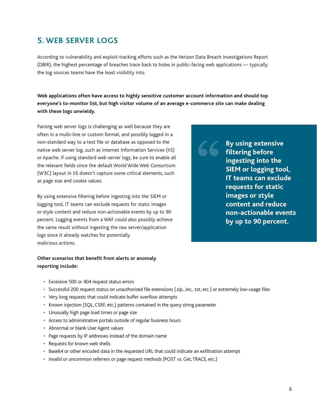### **5. WEB SERVER LOGS**

According to vulnerability and exploit-tracking efforts such as the Verizon Data Breach Investigations Report (DBIR), the highest percentage of breaches trace back to holes in public-facing web applications — typically the log sources teams have the least visibility into.

**Web applications often have access to highly sensitive customer account information and should top everyone's to-monitor list, but high visitor volume of an average e-commerce site can make dealing with these logs unwieldy.** 

Parsing web server logs is challenging as well because they are often in a multi-line or custom format, and possibly logged in a non-standard way to a text file or database as opposed to the native web server log, such as Internet Information Services (IIS) or Apache. If using standard web server logs, be sure to enable all the relevant fields since the default World Wide Web Consortium (W3C) layout in IIS doesn't capture some critical elements, such as page size and cookie values.

By using extensive filtering before ingesting into the SIEM or logging tool, IT teams can exclude requests for static images or style content and reduce non-actionable events by up to 90 percent. Logging events from a WAF could also possibly achieve the same result without ingesting the raw server/application logs since it already watches for potentially malicious actions.

**By using extensive filtering before ingesting into the SIEM or logging tool, IT teams can exclude requests for static images or style content and reduce non-actionable events by up to 90 percent.**

#### **Other scenarios that benefit from alerts or anomaly reporting include:**

- Excessive 500 or 404 request status errors
- Successful 200 request status on unauthorized file extensions (.zip, .inc, .txt, etc.) or extremely low-usage files
- Very long requests that could indicate buffer overflow attempts
- Known injection (SQL, CSRF, etc.) patterns contained in the query string parameter
- Unusually high page load times or page size
- Access to administrative portals outside of regular business hours
- Abnormal or blank User Agent values
- Page requests by IP addresses instead of the domain name
- Requests for known web shells
- Base64 or other encoded data in the requested URL that could indicate an exfiltration attempt
- Invalid or uncommon referrers or page request methods (POST vs. Get, TRACE, etc.)